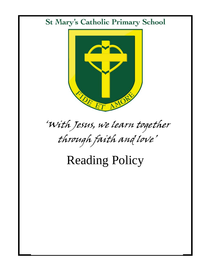## **St Mary's Catholic Primary School**



# 'With Jesus, we learn together through faith and love'

## Reading Policy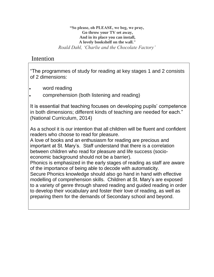**"So please, oh PLEASE, we beg, we pray, Go throw your TV set away, And in its place you can install, A lovely bookshelf on the wall."** *Roald Dahl, 'Charlie and the Chocolate Factory'*

#### Intention

"The programmes of study for reading at key stages 1 and 2 consists of 2 dimensions:

- word reading
- comprehension (both listening and reading)

It is essential that teaching focuses on developing pupils' competence in both dimensions; different kinds of teaching are needed for each." (National Curriculum, 2014)

As a school it is our intention that all children will be fluent and confident readers who choose to read for pleasure.

A love of books and an enthusiasm for reading are precious and important at St. Mary's. Staff understand that there is a correlation between children who read for pleasure and life success (socioeconomic background should not be a barrier).

Phonics is emphasized in the early stages of reading as staff are aware of the importance of being able to decode with automaticity.

Secure Phonics knowledge should also go hand in hand with effective modelling of comprehension skills. Children at St. Mary's are exposed to a variety of genre through shared reading and guided reading in order to develop their vocabulary and foster their love of reading, as well as preparing them for the demands of Secondary school and beyond.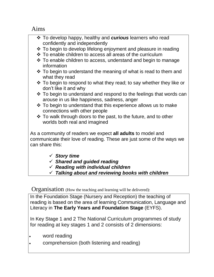Aims

| ❖ To develop happy, healthy and curious learners who read<br>confidently and independently<br>❖ To begin to develop lifelong enjoyment and pleasure in reading<br>❖ To enable children to access all areas of the curriculum<br>$\cdot$ To enable children to access, understand and begin to manage |
|------------------------------------------------------------------------------------------------------------------------------------------------------------------------------------------------------------------------------------------------------------------------------------------------------|
| information                                                                                                                                                                                                                                                                                          |
| $\cdot$ To begin to understand the meaning of what is read to them and<br>what they read                                                                                                                                                                                                             |
| $\cdot$ To begin to respond to what they read; to say whether they like or<br>don't like it and why                                                                                                                                                                                                  |
| ❖ To begin to understand and respond to the feelings that words can<br>arouse in us like happiness, sadness, anger                                                                                                                                                                                   |
| $\cdot$ To begin to understand that this experience allows us to make<br>connections with other people                                                                                                                                                                                               |
| ❖ To walk through doors to the past, to the future, and to other<br>worlds both real and imagined                                                                                                                                                                                                    |
| As a community of readers we expect <b>all adults</b> to model and<br>communicate their love of reading. These are just some of the ways we<br>can share this:                                                                                                                                       |
| $\checkmark$ Story time                                                                                                                                                                                                                                                                              |
| $\checkmark$ Shared and guided reading<br>$\checkmark$ Reading with individual children                                                                                                                                                                                                              |
| $\checkmark$ Talking about and reviewing books with children                                                                                                                                                                                                                                         |

Organisation (How the teaching and learning will be delivered):

In the Foundation Stage (Nursery and Reception) the teaching of reading is based on the area of learning Communication, Language and Literacy in **The Early Years and Foundation Stage** (EYFS).

In Key Stage 1 and 2 The National Curriculum programmes of study for reading at key stages 1 and 2 consists of 2 dimensions:

- word reading
- comprehension (both listening and reading)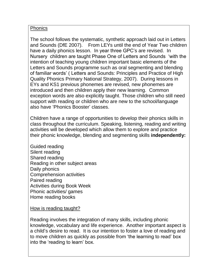#### Phonics

The school follows the systematic, synthetic approach laid out in Letters and Sounds (DfE 2007). From LEYs until the end of Year Two children have a daily phonics lesson. In year three GPC's are revised. In Nursery children are taught Phase One of Letters and Sounds 'with the intention of teaching young children important basic elements of the Letters and Sounds programme such as oral segmenting and blending of familiar words' ( Letters and Sounds: Principles and Practice of High Quality Phonics Primary National Strategy, 2007). During lessons in EYs and KS1 previous phonemes are revised, new phonemes are introduced and then children apply their new learning. Common exception words are also explicitly taught. Those children who still need support with reading or children who are new to the school/language also have 'Phonics Booster' classes.

Children have a range of opportunities to develop their phonics skills in class throughout the curriculum. Speaking, listening, reading and writing activities will be developed which allow them to explore and practice their phonic knowledge, blending and segmenting skills **independently:**

Guided reading Silent reading Shared reading Reading in other subject areas Daily phonics Comprehension activities Paired reading Activities during Book Week Phonic activities/ games Home reading books

#### How is reading taught?

Reading involves the integration of many skills, including phonic knowledge, vocabulary and life experience. Another important aspect is a child's desire to read. It is our intention to foster a love of reading and to move children as quickly as possible from 'the learning to read' box into the 'reading to learn' box.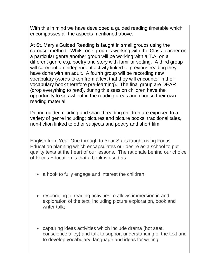With this in mind we have developed a quided reading timetable which encompasses all the aspects mentioned above.

At St. Mary's Guided Reading is taught in small groups using the carousel method. Whilst one group is working with the Class teacher on a particular genre another group will be working with a T.A. on a different genre e.g. poetry and story with familiar setting. A third group will carry out an independent activity linked to previous reading they have done with an adult. A fourth group will be recording new vocabulary (words taken from a text that they will encounter in their vocabulary book therefore pre-learning). The final group are DEAR (drop everything to read), during this session children have the opportunity to sprawl out in the reading areas and choose their own reading material.

During guided reading and shared reading children are exposed to a variety of genre including: pictures and picture books, traditional tales, non-fiction linked to other subjects and poetry and short film.

English from Year One through to Year Six is taught using Focus Education planning which encapsulates our desire as a school to put quality texts at the heart of our lessons. The rationale behind our choice of Focus Education is that a book is used as:

- a hook to fully engage and interest the children;
- responding to reading activities to allows immersion in and exploration of the text, including picture exploration, book and writer talk;
- capturing ideas activities which include drama (hot seat, conscience alley) and talk to support understanding of the text and to develop vocabulary, language and ideas for writing;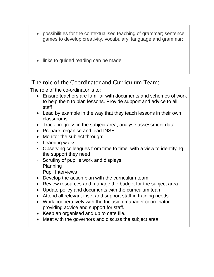- possibilities for the contextualised teaching of grammar; sentence games to develop creativity, vocabulary, language and grammar;
- links to guided reading can be made

The role of the Coordinator and Curriculum Team:

The role of the co-ordinator is to:

- Ensure teachers are familiar with documents and schemes of work to help them to plan lessons. Provide support and advice to all staff
- Lead by example in the way that they teach lessons in their own classrooms.
- Track progress in the subject area, analyse assessment data
- Prepare, organise and lead INSET
- Monitor the subject through:
- Learning walks
- Observing colleagues from time to time, with a view to identifying the support they need
- Scrutiny of pupil's work and displays
- Planning
- Pupil Interviews
- Develop the action plan with the curriculum team
- Review resources and manage the budget for the subject area
- Update policy and documents with the curriculum team
- Attend all relevant inset and support staff in training needs
- Work cooperatively with the Inclusion manager coordinator providing advice and support for staff.
- Keep an organised and up to date file.
- Meet with the governors and discuss the subject area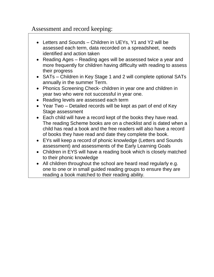## Assessment and record keeping:

- Letters and Sounds Children in UEYs, Y1 and Y2 will be assessed each term, data recorded on a spreadsheet, needs identified and action taken
- Reading Ages Reading ages will be assessed twice a year and more frequently for children having difficulty with reading to assess their progress
- SATs Children in Key Stage 1 and 2 will complete optional SATs annually in the summer Term.
- Phonics Screening Check- children in year one and children in year two who were not successful in year one.
- Reading levels are assessed each term
- Year Two Detailed records will be kept as part of end of Key Stage assessment
- Each child will have a record kept of the books they have read. The reading Scheme books are on a checklist and is dated when a child has read a book and the free readers will also have a record of books they have read and date they complete the book.
- EYs will keep a record of phonic knowledge (Letters and Sounds assessment) and assessments of the Early Learning Goals
- Children in EYS will have a reading book which is closely matched to their phonic knowledge
- All children throughout the school are heard read regularly e.g. one to one or in small guided reading groups to ensure they are reading a book matched to their reading ability.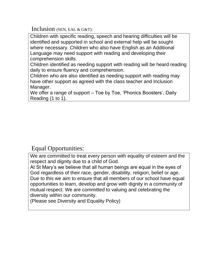Inclusion (SEN, EAL & G&T):

Children with specific reading, speech and hearing difficulties will be identified and supported in school and external help will be sought where necessary. Children who also have English as an Additional Language may need support with reading and developing their comprehension skills.

Children identified as needing support with reading will be heard reading daily to ensure fluency and comprehension.

Children who are also identified as needing support with reading may have other support as agreed with the class teacher and Inclusion Manager.

We offer a range of support – Toe by Toe, 'Phonics Boosters', Daily Reading (1 to 1).

### Equal Opportunities:

We are committed to treat every person with equality of esteem and the respect and dignity due to a child of God.

At St Mary's we believe that all human beings are equal in the eyes of God regardless of their race, gender, disability, religion, belief or age. Due to this we aim to ensure that all members of our school have equal opportunities to learn, develop and grow with dignity in a community of mutual respect. We are committed to valuing and celebrating the diversity within our community.

(Please see Diversity and Equality Policy)